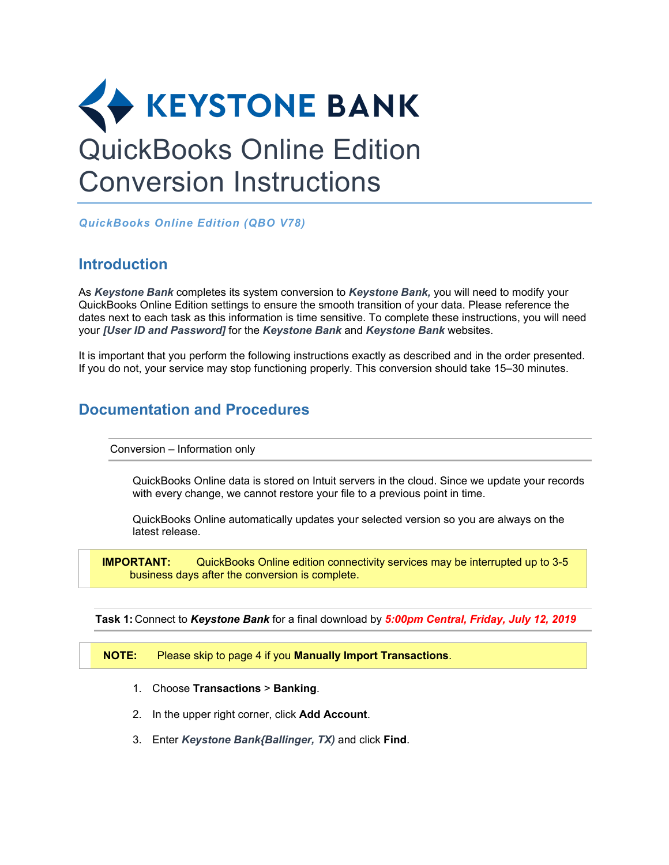

*QuickBooks Online Edition (QBO V78)* 

## **Introduction**

As *Keystone Bank* completes its system conversion to *Keystone Bank,* you will need to modify your QuickBooks Online Edition settings to ensure the smooth transition of your data. Please reference the dates next to each task as this information is time sensitive. To complete these instructions, you will need your *[User ID and Password]* for the *Keystone Bank* and *Keystone Bank* websites.

It is important that you perform the following instructions exactly as described and in the order presented. If you do not, your service may stop functioning properly. This conversion should take 15–30 minutes.

# **Documentation and Procedures**

Conversion – Information only

QuickBooks Online data is stored on Intuit servers in the cloud. Since we update your records with every change, we cannot restore your file to a previous point in time.

QuickBooks Online automatically updates your selected version so you are always on the latest release.

**IMPORTANT:** QuickBooks Online edition connectivity services may be interrupted up to 3-5 business days after the conversion is complete.

**Task 1:** Connect to *Keystone Bank* for a final download by *5:00pm Central, Friday, July 12, 2019*

**NOTE:** Please skip to page 4 if you **Manually Import Transactions**.

- 1. Choose **Transactions** > **Banking**.
- 2. In the upper right corner, click **Add Account**.
- 3. Enter *Keystone Bank{Ballinger, TX)* and click **Find**.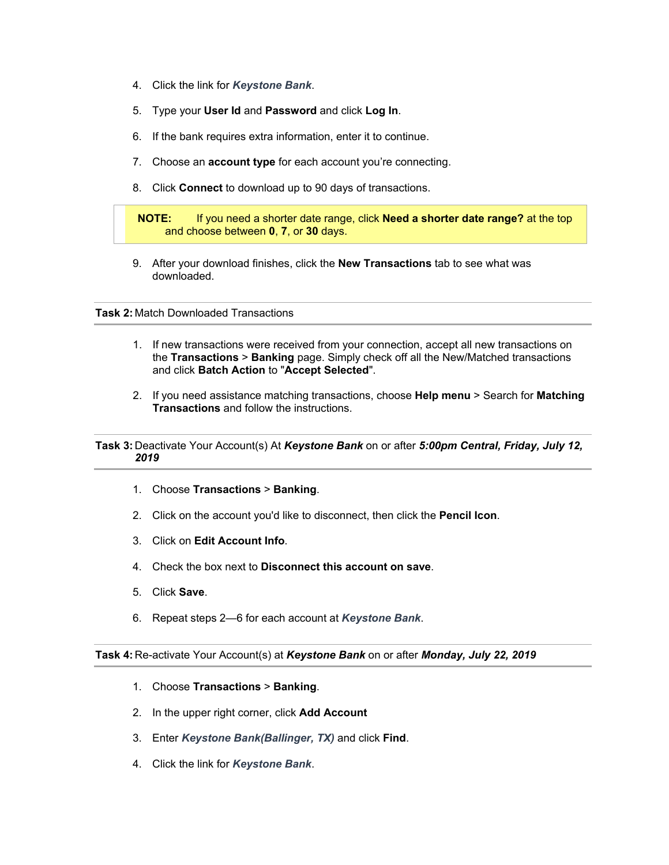- 4. Click the link for *Keystone Bank*.
- 5. Type your **User Id** and **Password** and click **Log In**.
- 6. If the bank requires extra information, enter it to continue.
- 7. Choose an **account type** for each account you're connecting.
- 8. Click **Connect** to download up to 90 days of transactions.

### **NOTE:** If you need a shorter date range, click **Need a shorter date range?** at the top and choose between **0**, **7**, or **30** days.

9. After your download finishes, click the **New Transactions** tab to see what was downloaded.

### **Task 2:** Match Downloaded Transactions

- 1. If new transactions were received from your connection, accept all new transactions on the **Transactions** > **Banking** page. Simply check off all the New/Matched transactions and click **Batch Action** to "**Accept Selected**".
- 2. If you need assistance matching transactions, choose **Help menu** > Search for **Matching Transactions** and follow the instructions.

## **Task 3:** Deactivate Your Account(s) At *Keystone Bank* on or after *5:00pm Central, Friday, July 12, 2019*

- 1. Choose **Transactions** > **Banking**.
- 2. Click on the account you'd like to disconnect, then click the **Pencil Icon**.
- 3. Click on **Edit Account Info**.
- 4. Check the box next to **Disconnect this account on save**.
- 5. Click **Save**.
- 6. Repeat steps 2—6 for each account at *Keystone Bank*.

**Task 4:** Re-activate Your Account(s) at *Keystone Bank* on or after *Monday, July 22, 2019*

- 1. Choose **Transactions** > **Banking**.
- 2. In the upper right corner, click **Add Account**
- 3. Enter *Keystone Bank(Ballinger, TX)* and click **Find**.
- 4. Click the link for *Keystone Bank*.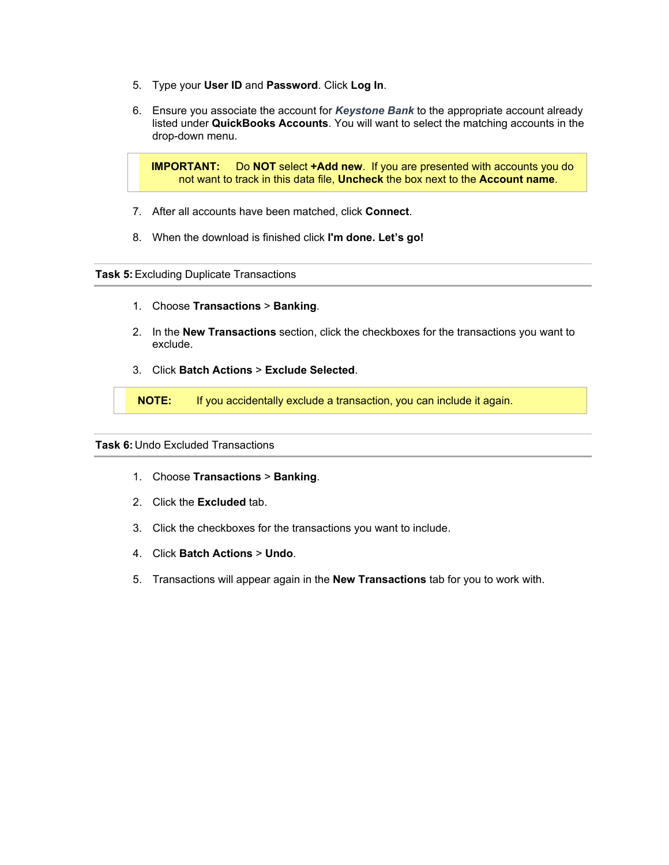- 5. Type your **User ID** and **Password**. Click **Log In**.
- 6. Ensure you associate the account for *Keystone Bank* to the appropriate account already listed under **QuickBooks Accounts**. You will want to select the matching accounts in the drop-down menu.

**IMPORTANT:** Do **NOT** select **+Add new**. If you are presented with accounts you do not want to track in this data file, **Uncheck** the box next to the **Account name**.

- 7. After all accounts have been matched, click **Connect**.
- 8. When the download is finished click **I'm done. Let's go!**

#### **Task 5:**Excluding Duplicate Transactions

- 1. Choose **Transactions** > **Banking**.
- 2. In the **New Transactions** section, click the checkboxes for the transactions you want to exclude.
- 3. Click **Batch Actions** > **Exclude Selected**.

**NOTE:** If you accidentally exclude a transaction, you can include it again.

#### **Task 6:** Undo Excluded Transactions

- 1. Choose **Transactions** > **Banking**.
- 2. Click the **Excluded** tab.
- 3. Click the checkboxes for the transactions you want to include.
- 4. Click **Batch Actions** > **Undo**.
- 5. Transactions will appear again in the **New Transactions** tab for you to work with.